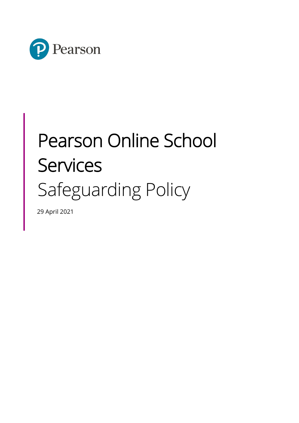

# Pearson Online School **Services** Safeguarding Policy

29 April 2021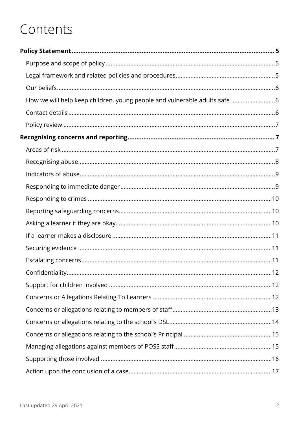### Contents

|  | How we will help keep children, young people and vulnerable adults safe 6 |  |
|--|---------------------------------------------------------------------------|--|
|  |                                                                           |  |
|  |                                                                           |  |
|  |                                                                           |  |
|  |                                                                           |  |
|  |                                                                           |  |
|  |                                                                           |  |
|  |                                                                           |  |
|  |                                                                           |  |
|  |                                                                           |  |
|  |                                                                           |  |
|  |                                                                           |  |
|  |                                                                           |  |
|  |                                                                           |  |
|  |                                                                           |  |
|  |                                                                           |  |
|  |                                                                           |  |
|  |                                                                           |  |
|  |                                                                           |  |
|  |                                                                           |  |
|  |                                                                           |  |
|  |                                                                           |  |
|  |                                                                           |  |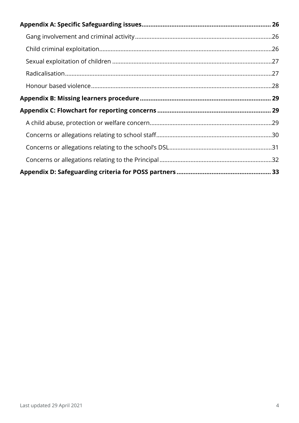<span id="page-3-0"></span>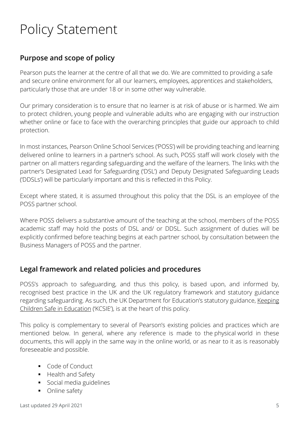### Policy Statement

### <span id="page-4-0"></span>**Purpose and scope of policy**

Pearson puts the learner at the centre of all that we do. We are committed to providing a safe and secure online environment for all our learners, employees, apprentices and stakeholders, particularly those that are under 18 or in some other way vulnerable.

Our primary consideration is to ensure that no learner is at risk of abuse or is harmed. We aim to protect children, young people and vulnerable adults who are engaging with our instruction whether online or face to face with the overarching principles that guide our approach to child protection.

In most instances, Pearson Online School Services ('POSS') will be providing teaching and learning delivered online to learners in a partner's school. As such, POSS staff will work closely with the partner on all matters regarding safeguarding and the welfare of the learners. The links with the partner's Designated Lead for Safeguarding ('DSL') and Deputy Designated Safeguarding Leads ('DDSLs') will be particularly important and this is reflected in this Policy.

Except where stated, it is assumed throughout this policy that the DSL is an employee of the POSS partner school.

Where POSS delivers a substantive amount of the teaching at the school, members of the POSS academic staff may hold the posts of DSL and/ or DDSL. Such assignment of duties will be explicitly confirmed before teaching begins at each partner school, by consultation between the Business Managers of POSS and the partner.

### <span id="page-4-1"></span>**Legal framework and related policies and procedures**

POSS's approach to safeguarding, and thus this policy, is based upon, and informed by, recognised best practice in the UK and the UK regulatory framework and statutory guidance regarding safeguarding. As such, the UK Department for Education's statutory guidance, Keeping [Children Safe in Education](https://www.gov.uk/government/publications/keeping-children-safe-in-education--2) ('KCSIE'), is at the heart of this policy.

This policy is complementary to several of Pearson's existing policies and practices which are mentioned below. In general, where any reference is made to the physical world in these documents, this will apply in the same way in the online world, or as near to it as is reasonably foreseeable and possible.

- Code of Conduct
- **Health and Safety**
- **Social media guidelines**
- Online safety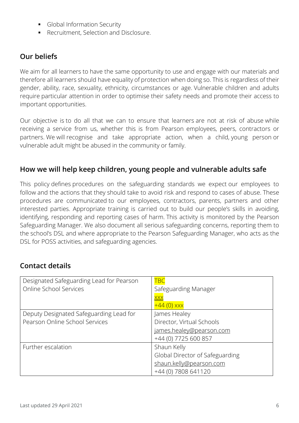- Global Information Security
- **Recruitment, Selection and Disclosure.**

### <span id="page-5-0"></span>**Our beliefs**

We aim for all learners to have the same opportunity to use and engage with our materials and therefore all learners should have equality of protection when doing so. This is regardless of their gender, ability, race, sexuality, ethnicity, circumstances or age. Vulnerable children and adults require particular attention in order to optimise their safety needs and promote their access to important opportunities.

Our objective is to do all that we can to ensure that learners are not at risk of abuse while receiving a service from us, whether this is from Pearson employees, peers, contractors or partners. We will recognise and take appropriate action, when a child, young person or vulnerable adult might be abused in the community or family.

### <span id="page-5-1"></span>**How we will help keep children, young people and vulnerable adults safe**

This policy defines procedures on the safeguarding standards we expect our employees to follow and the actions that they should take to avoid risk and respond to cases of abuse. These procedures are communicated to our employees, contractors, parents, partners and other interested parties. Appropriate training is carried out to build our people's skills in avoiding, identifying, responding and reporting cases of harm. This activity is monitored by the Pearson Safeguarding Manager. We also document all serious safeguarding concerns, reporting them to the school's DSL and where appropriate to the Pearson Safeguarding Manager, who acts as the DSL for POSS activities, and safeguarding agencies.

### <span id="page-5-2"></span>**Contact details**

| Designated Safeguarding Lead for Pearson | <b>TBC</b>                      |
|------------------------------------------|---------------------------------|
| Online School Services                   | Safeguarding Manager            |
|                                          | <b>XXX</b>                      |
|                                          | $+44(0)$ xxx                    |
| Deputy Designated Safeguarding Lead for  | James Healey                    |
| Pearson Online School Services           | Director, Virtual Schools       |
|                                          | james.healey@pearson.com        |
|                                          | +44 (0) 7725 600 857            |
| Further escalation                       | Shaun Kelly                     |
|                                          | Global Director of Safeguarding |
|                                          | shaun.kelly@pearson.com         |
|                                          | +44 (0) 7808 641120             |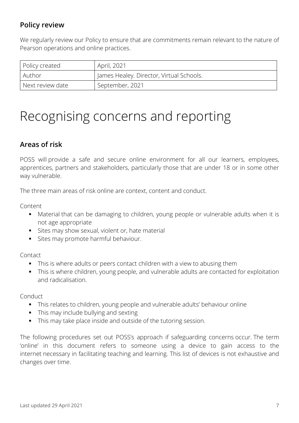### <span id="page-6-0"></span>**Policy review**

We regularly review our Policy to ensure that are commitments remain relevant to the nature of Pearson operations and online practices.

| Policy created   | April, 2021                              |
|------------------|------------------------------------------|
| Author           | James Healey. Director, Virtual Schools. |
| Next review date | September, 2021                          |

### <span id="page-6-1"></span>Recognising concerns and reporting

### <span id="page-6-2"></span>**Areas of risk**

POSS will provide a safe and secure online environment for all our learners, employees, apprentices, partners and stakeholders, particularly those that are under 18 or in some other way vulnerable.

The three main areas of risk online are context, content and conduct.

Content

- Material that can be damaging to children, young people or vulnerable adults when it is not age appropriate
- Sites may show sexual, violent or, hate material
- Sites may promote harmful behaviour.

Contact

- This is where adults or peers contact children with a view to abusing them
- This is where children, young people, and vulnerable adults are contacted for exploitation and radicalisation.

Conduct

- This relates to children, young people and vulnerable adults' behaviour online
- This may include bullying and sexting
- This may take place inside and outside of the tutoring session.

The following procedures set out POSS's approach if safeguarding concerns occur. The term 'online' in this document refers to someone using a device to gain access to the internet necessary in facilitating teaching and learning. This list of devices is not exhaustive and changes over time.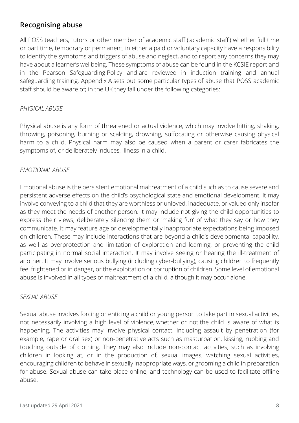### <span id="page-7-0"></span>**Recognising abuse**

All POSS teachers, tutors or other member of academic staff ('academic staff') whether full time or part time, temporary or permanent, in either a paid or voluntary capacity have a responsibility to identify the symptoms and triggers of abuse and neglect, and to report any concerns they may have about a learner's wellbeing. These symptoms of abuse can be found in the KCSIE report and in the Pearson Safeguarding Policy and are reviewed in induction training and annual safeguarding training. Appendix A sets out some particular types of abuse that POSS academic staff should be aware of; in the UK they fall under the following categories:

#### *PHYSICAL ABUSE*

Physical abuse is any form of threatened or actual violence, which may involve hitting, shaking, throwing, poisoning, burning or scalding, drowning, suffocating or otherwise causing physical harm to a child. Physical harm may also be caused when a parent or carer fabricates the symptoms of, or deliberately induces, illness in a child.

#### *EMOTIONAL ABUSE*

Emotional abuse is the persistent emotional maltreatment of a child such as to cause severe and persistent adverse effects on the child's psychological state and emotional development. It may involve conveying to a child that they are worthless or unloved, inadequate, or valued only insofar as they meet the needs of another person. It may include not giving the child opportunities to express their views, deliberately silencing them or 'making fun' of what they say or how they communicate. It may feature age or developmentally inappropriate expectations being imposed on children. These may include interactions that are beyond a child's developmental capability, as well as overprotection and limitation of exploration and learning, or preventing the child participating in normal social interaction. It may involve seeing or hearing the ill-treatment of another. It may involve serious bullying (including cyber-bullying), causing children to frequently feel frightened or in danger, or the exploitation or corruption of children. Some level of emotional abuse is involved in all types of maltreatment of a child, although it may occur alone.

#### *SEXUAL ABUSE*

Sexual abuse involves forcing or enticing a child or young person to take part in sexual activities, not necessarily involving a high level of violence, whether or not the child is aware of what is happening. The activities may involve physical contact, including assault by penetration (for example, rape or oral sex) or non-penetrative acts such as masturbation, kissing, rubbing and touching outside of clothing. They may also include non-contact activities, such as involving children in looking at, or in the production of, sexual images, watching sexual activities, encouraging children to behave in sexually inappropriate ways, or grooming a child in preparation for abuse. Sexual abuse can take place online, and technology can be used to facilitate offline abuse.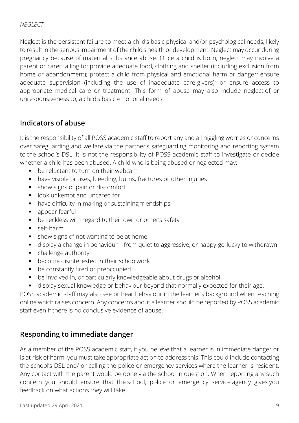#### *NEGLECT*

Neglect is the persistent failure to meet a child's basic physical and/or psychological needs, likely to result in the serious impairment of the child's health or development. Neglect may occur during pregnancy because of maternal substance abuse. Once a child is born, neglect may involve a parent or carer failing to: provide adequate food, clothing and shelter (including exclusion from home or abandonment); protect a child from physical and emotional harm or danger; ensure adequate supervision (including the use of inadequate care-givers); or ensure access to appropriate medical care or treatment. This form of abuse may also include neglect of, or unresponsiveness to, a child's basic emotional needs.

### <span id="page-8-0"></span>**Indicators of abuse**

It is the responsibility of all POSS academic staff to report any and all niggling worries or concerns over safeguarding and welfare via the partner's safeguarding monitoring and reporting system to the school's DSL. It is not the responsibility of POSS academic staff to investigate or decide whether a child has been abused. A child who is being abused or neglected may:

- **•** be reluctant to turn on their webcam
- have visible bruises, bleeding, burns, fractures or other injuries
- **show signs of pain or discomfort**
- **If** look unkempt and uncared for
- have difficulty in making or sustaining friendships
- **appear fearful**
- **be reckless with regard to their own or other's safety**
- **self-harm**
- **show signs of not wanting to be at home**
- display a change in behaviour from quiet to aggressive, or happy-go-lucky to withdrawn
- challenge authority
- **•** become disinterested in their schoolwork
- **•** be constantly tired or preoccupied
- be involved in, or particularly knowledgeable about drugs or alcohol
- display sexual knowledge or behaviour beyond that normally expected for their age.

POSS academic staff may also see or hear behaviour in the learner's background when teaching online which raises concern. Any concerns about a learner should be reported by POSS academic staff even if there is no conclusive evidence of abuse.

### <span id="page-8-1"></span>**Responding to immediate danger**

As a member of the POSS academic staff, if you believe that a learner is in immediate danger or is at risk of harm, you must take appropriate action to address this. This could include contacting the school's DSL and/ or calling the police or emergency services where the learner is resident. Any contact with the parent would be done via the school in question. When reporting any such concern you should ensure that the school, police or emergency service agency gives you feedback on what actions they will take.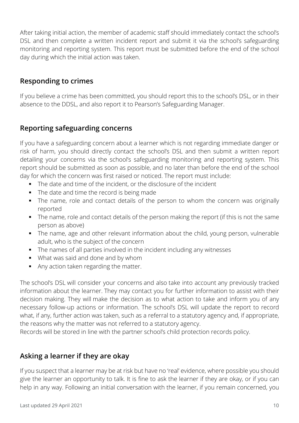After taking initial action, the member of academic staff should immediately contact the school's DSL and then complete a written incident report and submit it via the school's safeguarding monitoring and reporting system. This report must be submitted before the end of the school day during which the initial action was taken.

### <span id="page-9-0"></span>**Responding to crimes**

If you believe a crime has been committed, you should report this to the school's DSL, or in their absence to the DDSL, and also report it to Pearson's Safeguarding Manager.

### <span id="page-9-1"></span>**Reporting safeguarding concerns**

If you have a safeguarding concern about a learner which is not regarding immediate danger or risk of harm, you should directly contact the school's DSL and then submit a written report detailing your concerns via the school's safeguarding monitoring and reporting system. This report should be submitted as soon as possible, and no later than before the end of the school day for which the concern was first raised or noticed. The report must include:

- The date and time of the incident, or the disclosure of the incident
- The date and time the record is being made
- The name, role and contact details of the person to whom the concern was originally reported
- The name, role and contact details of the person making the report (if this is not the same person as above)
- The name, age and other relevant information about the child, young person, vulnerable adult, who is the subject of the concern
- The names of all parties involved in the incident including any witnesses
- What was said and done and by whom
- Any action taken regarding the matter.

The school's DSL will consider your concerns and also take into account any previously tracked information about the learner. They may contact you for further information to assist with their decision making. They will make the decision as to what action to take and inform you of any necessary follow-up actions or information. The school's DSL will update the report to record what, if any, further action was taken, such as a referral to a statutory agency and, if appropriate, the reasons why the matter was not referred to a statutory agency.

<span id="page-9-2"></span>Records will be stored in line with the partner school's child protection records policy.

### **Asking a learner if they are okay**

If you suspect that a learner may be at risk but have no 'real' evidence, where possible you should give the learner an opportunity to talk. It is fine to ask the learner if they are okay, or if you can help in any way. Following an initial conversation with the learner, if you remain concerned, you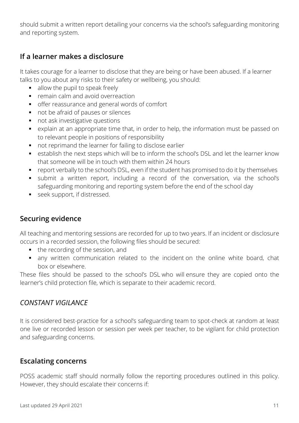should submit a written report detailing your concerns via the school's safeguarding monitoring and reporting system.

### <span id="page-10-0"></span>**If a learner makes a disclosure**

It takes courage for a learner to disclose that they are being or have been abused. If a learner talks to you about any risks to their safety or wellbeing, you should:

- allow the pupil to speak freely
- **•** remain calm and avoid overreaction
- offer reassurance and general words of comfort
- not be afraid of pauses or silences
- not ask investigative questions
- explain at an appropriate time that, in order to help, the information must be passed on to relevant people in positions of responsibility
- not reprimand the learner for failing to disclose earlier
- establish the next steps which will be to inform the school's DSL and let the learner know that someone will be in touch with them within 24 hours
- report verbally to the school's DSL, even if the student has promised to do it by themselves
- submit a written report, including a record of the conversation, via the school's safeguarding monitoring and reporting system before the end of the school day
- <span id="page-10-1"></span>**seek support, if distressed.**

### **Securing evidence**

All teaching and mentoring sessions are recorded for up to two years. If an incident or disclosure occurs in a recorded session, the following files should be secured:

- the recording of the session, and
- any written communication related to the incident on the online white board, chat box or elsewhere.

These files should be passed to the school's DSL who will ensure they are copied onto the learner's child protection file, which is separate to their academic record.

### *CONSTANT VIGILANCE*

It is considered best-practice for a school's safeguarding team to spot-check at random at least one live or recorded lesson or session per week per teacher, to be vigilant for child protection and safeguarding concerns.

### <span id="page-10-2"></span>**Escalating concerns**

POSS academic staff should normally follow the reporting procedures outlined in this policy. However, they should escalate their concerns if: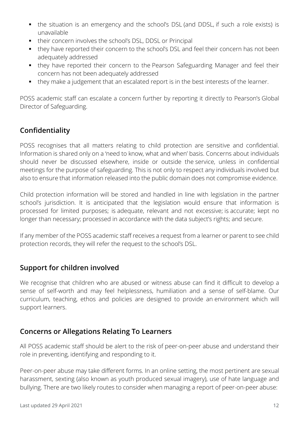- the situation is an emergency and the school's DSL (and DDSL, if such a role exists) is unavailable
- their concern involves the school's DSL, DDSL or Principal
- they have reported their concern to the school's DSL and feel their concern has not been adequately addressed
- they have reported their concern to the Pearson Safeguarding Manager and feel their concern has not been adequately addressed
- they make a judgement that an escalated report is in the best interests of the learner.

POSS academic staff can escalate a concern further by reporting it directly to Pearson's Global Director of Safeguarding.

### <span id="page-11-0"></span>**Confidentiality**

POSS recognises that all matters relating to child protection are sensitive and confidential. Information is shared only on a 'need to know, what and when' basis. Concerns about individuals should never be discussed elsewhere, inside or outside the service, unless in confidential meetings for the purpose of safeguarding. This is not only to respect any individuals involved but also to ensure that information released into the public domain does not compromise evidence.

Child protection information will be stored and handled in line with legislation in the partner school's jurisdiction. It is anticipated that the legislation would ensure that information is processed for limited purposes; is adequate, relevant and not excessive; is accurate; kept no longer than necessary; processed in accordance with the data subject's rights; and secure.

<span id="page-11-1"></span>If any member of the POSS academic staff receives a request from a learner or parent to see child protection records, they will refer the request to the school's DSL.

### **Support for children involved**

We recognise that children who are abused or witness abuse can find it difficult to develop a sense of self-worth and may feel helplessness, humiliation and a sense of self-blame. Our curriculum, teaching, ethos and policies are designed to provide an environment which will support learners.

### <span id="page-11-2"></span>**Concerns or Allegations Relating To Learners**

All POSS academic staff should be alert to the risk of peer-on-peer abuse and understand their role in preventing, identifying and responding to it.

Peer-on-peer abuse may take different forms. In an online setting, the most pertinent are sexual harassment, sexting (also known as youth produced sexual imagery), use of hate language and bullying. There are two likely routes to consider when managing a report of peer-on-peer abuse: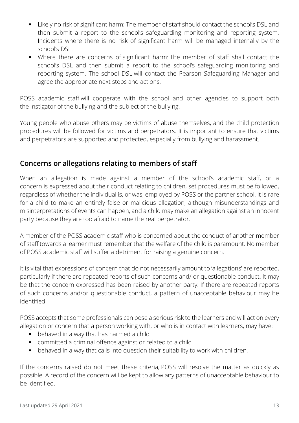- Likely no risk of significant harm: The member of staff should contact the school's DSL and then submit a report to the school's safeguarding monitoring and reporting system. Incidents where there is no risk of significant harm will be managed internally by the school's DSL.
- Where there are concerns of significant harm: The member of staff shall contact the school's DSL and then submit a report to the school's safeguarding monitoring and reporting system. The school DSL will contact the Pearson Safeguarding Manager and agree the appropriate next steps and actions.

POSS academic staff will cooperate with the school and other agencies to support both the instigator of the bullying and the subject of the bullying.

Young people who abuse others may be victims of abuse themselves, and the child protection procedures will be followed for victims and perpetrators. It is important to ensure that victims and perpetrators are supported and protected, especially from bullying and harassment.

### <span id="page-12-0"></span>**Concerns or allegations relating to members of staff**

When an allegation is made against a member of the school's academic staff, or a concern is expressed about their conduct relating to children, set procedures must be followed, regardless of whether the individual is, or was, employed by POSS or the partner school. It is rare for a child to make an entirely false or malicious allegation, although misunderstandings and misinterpretations of events can happen, and a child may make an allegation against an innocent party because they are too afraid to name the real perpetrator.

A member of the POSS academic staff who is concerned about the conduct of another member of staff towards a learner must remember that the welfare of the child is paramount. No member of POSS academic staff will suffer a detriment for raising a genuine concern.

It is vital that expressions of concern that do not necessarily amount to 'allegations' are reported, particularly if there are repeated reports of such concerns and/ or questionable conduct. It may be that the concern expressed has been raised by another party. If there are repeated reports of such concerns and/or questionable conduct, a pattern of unacceptable behaviour may be identified.

POSS accepts that some professionals can pose a serious risk to the learners and will act on every allegation or concern that a person working with, or who is in contact with learners, may have:

- behaved in a way that has harmed a child
- committed a criminal offence against or related to a child
- behaved in a way that calls into question their suitability to work with children.

If the concerns raised do not meet these criteria, POSS will resolve the matter as quickly as possible. A record of the concern will be kept to allow any patterns of unacceptable behaviour to be identified.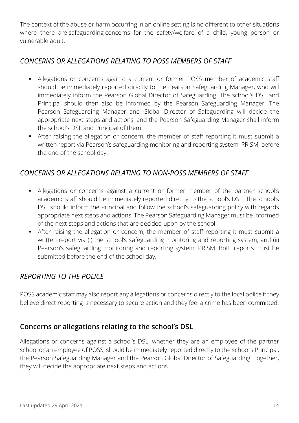The context of the abuse or harm occurring in an online setting is no different to other situations where there are safeguarding concerns for the safety/welfare of a child, young person or vulnerable adult.

### *CONCERNS OR ALLEGATIONS RELATING TO POSS MEMBERS OF STAFF*

- Allegations or concerns against a current or former POSS member of academic staff should be immediately reported directly to the Pearson Safeguarding Manager, who will immediately inform the Pearson Global Director of Safeguarding. The school's DSL and Principal should then also be informed by the Pearson Safeguarding Manager. The Pearson Safeguarding Manager and Global Director of Safeguarding will decide the appropriate next steps and actions, and the Pearson Safeguarding Manager shall inform the school's DSL and Principal of them.
- After raising the allegation or concern, the member of staff reporting it must submit a written report via Pearson's safeguarding monitoring and reporting system, PRISM, before the end of the school day.

### *CONCERNS OR ALLEGATIONS RELATING TO NON-POSS MEMBERS OF STAFF*

- Allegations or concerns against a current or former member of the partner school's academic staff should be immediately reported directly to the school's DSL. The school's DSL should inform the Principal and follow the school's safeguarding policy with regards appropriate next steps and actions. The Pearson Safeguarding Manager must be informed of the next steps and actions that are decided upon by the school.
- After raising the allegation or concern, the member of staff reporting it must submit a written report via (i) the school's safeguarding monitoring and reporting system; and (ii) Pearson's safeguarding monitoring and reporting system, PRISM. Both reports must be submitted before the end of the school day.

### *REPORTING TO THE POLICE*

<span id="page-13-0"></span>POSS academic staff may also report any allegations or concerns directly to the local police if they believe direct reporting is necessary to secure action and they feel a crime has been committed.

### **Concerns or allegations relating to the school's DSL**

Allegations or concerns against a school's DSL, whether they are an employee of the partner school or an employee of POSS, should be immediately reported directly to the school's Principal, the Pearson Safeguarding Manager and the Pearson Global Director of Safeguarding. Together, they will decide the appropriate next steps and actions.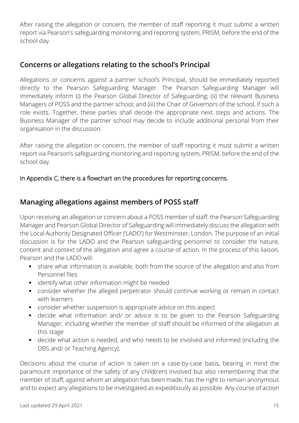After raising the allegation or concern, the member of staff reporting it must submit a written report via Pearson's safeguarding monitoring and reporting system, PRISM, before the end of the school day.

### <span id="page-14-0"></span>**Concerns or allegations relating to the school's Principal**

Allegations or concerns against a partner school's Principal, should be immediately reported directly to the Pearson Safeguarding Manager. The Pearson Safeguarding Manager will immediately inform (i) the Pearson Global Director of Safeguarding; (ii) the relevant Business Managers of POSS and the partner school; and (iii) the Chair of Governors of the school, if such a role exists. Together, these parties shall decide the appropriate next steps and actions. The Business Manager of the partner school may decide to include additional personal from their organisation in the discussion.

After raising the allegation or concern, the member of staff reporting it must submit a written report via Pearson's safeguarding monitoring and reporting system, PRISM, before the end of the school day.

#### <span id="page-14-1"></span>In Appendix C, there is a flowchart on the procedures for reporting concerns.

### **Managing allegations against members of POSS staff**

Upon receiving an allegation or concern about a POSS member of staff, the Pearson Safeguarding Manager and Pearson Global Director of Safeguarding will immediately discuss the allegation with the Local Authority Designated Officer ('LADO') for Westminster, London. The purpose of an initial discussion is for the LADO and the Pearson safeguarding personnel to consider the nature, content and context of the allegation and agree a course of action. In the process of this liaison, Pearson and the LADO will:

- share what information is available, both from the source of the allegation and also from Personnel files
- **i** identify what other information might be needed
- consider whether the alleged perpetrator should continue working or remain in contact with learners
- consider whether suspension is appropriate advice on this aspect
- decide what information and/ or advice is to be given to the Pearson Safeguarding Manager, including whether the member of staff should be informed of the allegation at this stage
- decide what action is needed, and who needs to be involved and informed (including the DBS and/ or Teaching Agency).

Decisions about the course of action is taken on a case-by-case basis, bearing in mind the paramount importance of the safety of any child(ren) involved but also remembering that the member of staff, against whom an allegation has been made, has the right to remain anonymous and to expect any allegations to be investigated as expeditiously as possible. Any course of action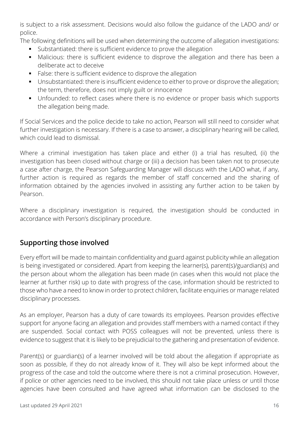is subject to a risk assessment. Decisions would also follow the guidance of the LADO and/ or police.

The following definitions will be used when determining the outcome of allegation investigations:

- Substantiated: there is sufficient evidence to prove the allegation
- Malicious: there is sufficient evidence to disprove the allegation and there has been a deliberate act to deceive
- False: there is sufficient evidence to disprove the allegation
- Unsubstantiated: there is insufficient evidence to either to prove or disprove the allegation; the term, therefore, does not imply guilt or innocence
- **Unfounded: to reflect cases where there is no evidence or proper basis which supports** the allegation being made.

If Social Services and the police decide to take no action, Pearson will still need to consider what further investigation is necessary. If there is a case to answer, a disciplinary hearing will be called, which could lead to dismissal.

Where a criminal investigation has taken place and either (i) a trial has resulted, (ii) the investigation has been closed without charge or (iii) a decision has been taken not to prosecute a case after charge, the Pearson Safeguarding Manager will discuss with the LADO what, if any, further action is required as regards the member of staff concerned and the sharing of information obtained by the agencies involved in assisting any further action to be taken by Pearson.

Where a disciplinary investigation is required, the investigation should be conducted in accordance with Person's disciplinary procedure.

### <span id="page-15-0"></span>**Supporting those involved**

Every effort will be made to maintain confidentiality and guard against publicity while an allegation is being investigated or considered. Apart from keeping the learner(s), parent(s)/guardian(s) and the person about whom the allegation has been made (in cases when this would not place the learner at further risk) up to date with progress of the case, information should be restricted to those who have a need to know in order to protect children, facilitate enquiries or manage related disciplinary processes.

As an employer, Pearson has a duty of care towards its employees. Pearson provides effective support for anyone facing an allegation and provides staff members with a named contact if they are suspended. Social contact with POSS colleagues will not be prevented, unless there is evidence to suggest that it is likely to be prejudicial to the gathering and presentation of evidence.

Parent(s) or guardian(s) of a learner involved will be told about the allegation if appropriate as soon as possible, if they do not already know of it. They will also be kept informed about the progress of the case and told the outcome where there is not a criminal prosecution. However, if police or other agencies need to be involved, this should not take place unless or until those agencies have been consulted and have agreed what information can be disclosed to the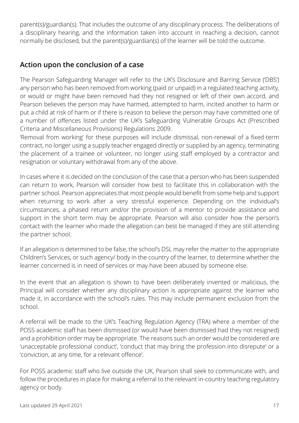parent(s)/guardian(s). That includes the outcome of any disciplinary process. The deliberations of a disciplinary hearing, and the information taken into account in reaching a decision, cannot normally be disclosed, but the parent(s)/guardian(s) of the learner will be told the outcome.

### <span id="page-16-0"></span>**Action upon the conclusion of a case**

The Pearson Safeguarding Manager will refer to the UK's Disclosure and Barring Service ('DBS') any person who has been removed from working (paid or unpaid) in a regulated teaching activity, or would or might have been removed had they not resigned or left of their own accord, and Pearson believes the person may have harmed, attempted to harm, incited another to harm or put a child at risk of harm or if there is reason to believe the person may have committed one of a number of offences listed under the UK's Safeguarding Vulnerable Groups Act (Prescribed Criteria and Miscellaneous Provisions) Regulations 2009.

'Removal from working' for these purposes will include dismissal, non-renewal of a fixed-term contract, no longer using a supply teacher engaged directly or supplied by an agency, terminating the placement of a trainee or volunteer, no longer using staff employed by a contractor and resignation or voluntary withdrawal from any of the above.

In cases where it is decided on the conclusion of the case that a person who has been suspended can return to work, Pearson will consider how best to facilitate this in collaboration with the partner school. Pearson appreciates that most people would benefit from some help and support when returning to work after a very stressful experience. Depending on the individual's circumstances, a phased return and/or the provision of a mentor to provide assistance and support in the short term may be appropriate. Pearson will also consider how the person's contact with the learner who made the allegation can best be managed if they are still attending the partner school.

If an allegation is determined to be false, the school's DSL may refer the matter to the appropriate Children's Services, or such agency/ body in the country of the learner, to determine whether the learner concerned is in need of services or may have been abused by someone else.

In the event that an allegation is shown to have been deliberately invented or malicious, the Principal will consider whether any disciplinary action is appropriate against the learner who made it, in accordance with the school's rules. This may include permanent exclusion from the school.

A referral will be made to the UK's Teaching Regulation Agency (TRA) where a member of the POSS academic staff has been dismissed (or would have been dismissed had they not resigned) and a prohibition order may be appropriate. The reasons such an order would be considered are 'unacceptable professional conduct', 'conduct that may bring the profession into disrepute' or a 'conviction, at any time, for a relevant offence'.

For POSS academic staff who live outside the UK, Pearson shall seek to communicate with, and follow the procedures in place for making a referral to the relevant in-country teaching regulatory agency or body.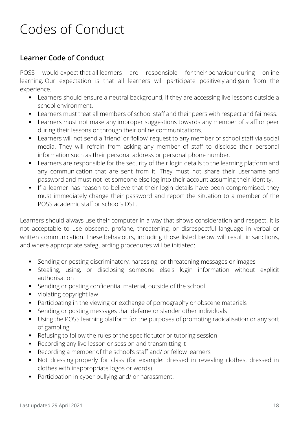# <span id="page-17-0"></span>Codes of Conduct

### <span id="page-17-1"></span>**Learner Code of Conduct**

POSS would expect that all learners are responsible for their behaviour during online learning. Our expectation is that all learners will participate positively and gain from the experience.

- Learners should ensure a neutral background, if they are accessing live lessons outside a school environment.
- **Learners must treat all members of school staff and their peers with respect and fairness.**
- **Learners must not make any improper suggestions towards any member of staff or peer** during their lessons or through their online communications.
- Learners will not send a 'friend' or 'follow' request to any member of school staff via social media. They will refrain from asking any member of staff to disclose their personal information such as their personal address or personal phone number.
- **EXECT** Learners are responsible for the security of their login details to the learning platform and any communication that are sent from it. They must not share their username and password and must not let someone else log into their account assuming their identity.
- If a learner has reason to believe that their login details have been compromised, they must immediately change their password and report the situation to a member of the POSS academic staff or school's DSL.

Learners should always use their computer in a way that shows consideration and respect. It is not acceptable to use obscene, profane, threatening, or disrespectful language in verbal or written communication. These behaviours, including those listed below, will result in sanctions, and where appropriate safeguarding procedures will be initiated:

- Sending or posting discriminatory, harassing, or threatening messages or images
- Stealing, using, or disclosing someone else's login information without explicit authorisation
- Sending or posting confidential material, outside of the school
- **Violating copyright law**
- **Participating in the viewing or exchange of pornography or obscene materials**
- Sending or posting messages that defame or slander other individuals
- Using the POSS learning platform for the purposes of promoting radicalisation or any sort of gambling
- Refusing to follow the rules of the specific tutor or tutoring session
- Recording any live lesson or session and transmitting it
- Recording a member of the school's staff and/ or fellow learners
- Not dressing properly for class (for example: dressed in revealing clothes, dressed in clothes with inappropriate logos or words)
- **Participation in cyber-bullying and/ or harassment.**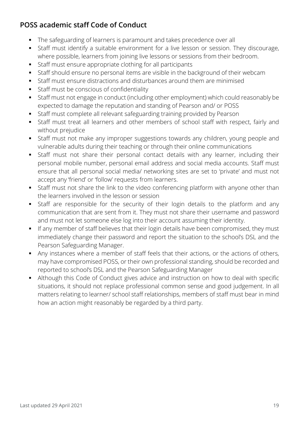### <span id="page-18-0"></span>**POSS academic staff Code of Conduct**

- The safeguarding of learners is paramount and takes precedence over all
- Staff must identify a suitable environment for a live lesson or session. They discourage, where possible, learners from joining live lessons or sessions from their bedroom.
- Staff must ensure appropriate clothing for all participants
- Staff should ensure no personal items are visible in the background of their webcam
- Staff must ensure distractions and disturbances around them are minimised
- **Staff must be conscious of confidentiality**
- Staff must not engage in conduct (including other employment) which could reasonably be expected to damage the reputation and standing of Pearson and/ or POSS
- Staff must complete all relevant safeguarding training provided by Pearson
- Staff must treat all learners and other members of school staff with respect, fairly and without prejudice
- Staff must not make any improper suggestions towards any children, young people and vulnerable adults during their teaching or through their online communications
- Staff must not share their personal contact details with any learner, including their personal mobile number, personal email address and social media accounts. Staff must ensure that all personal social media/ networking sites are set to 'private' and must not accept any 'friend' or 'follow' requests from learners.
- **Staff must not share the link to the video conferencing platform with anyone other than** the learners involved in the lesson or session
- Staff are responsible for the security of their login details to the platform and any communication that are sent from it. They must not share their username and password and must not let someone else log into their account assuming their identity.
- If any member of staff believes that their login details have been compromised, they must immediately change their password and report the situation to the school's DSL and the Pearson Safeguarding Manager.
- Any instances where a member of staff feels that their actions, or the actions of others, may have compromised POSS, or their own professional standing, should be recorded and reported to school's DSL and the Pearson Safeguarding Manager
- Although this Code of Conduct gives advice and instruction on how to deal with specific situations, it should not replace professional common sense and good judgement. In all matters relating to learner/ school staff relationships, members of staff must bear in mind how an action might reasonably be regarded by a third party.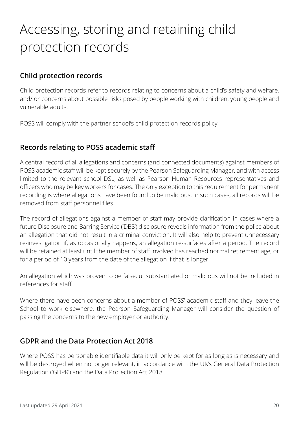# <span id="page-19-0"></span>Accessing, storing and retaining child protection records

### <span id="page-19-1"></span>**Child protection records**

Child protection records refer to records relating to concerns about a child's safety and welfare, and/ or concerns about possible risks posed by people working with children, young people and vulnerable adults.

<span id="page-19-2"></span>POSS will comply with the partner school's child protection records policy.

### **Records relating to POSS academic staff**

A central record of all allegations and concerns (and connected documents) against members of POSS academic staff will be kept securely by the Pearson Safeguarding Manager, and with access limited to the relevant school DSL, as well as Pearson Human Resources representatives and officers who may be key workers for cases. The only exception to this requirement for permanent recording is where allegations have been found to be malicious. In such cases, all records will be removed from staff personnel files.

The record of allegations against a member of staff may provide clarification in cases where a future Disclosure and Barring Service ('DBS') disclosure reveals information from the police about an allegation that did not result in a criminal conviction. It will also help to prevent unnecessary re-investigation if, as occasionally happens, an allegation re-surfaces after a period. The record will be retained at least until the member of staff involved has reached normal retirement age, or for a period of 10 years from the date of the allegation if that is longer.

An allegation which was proven to be false, unsubstantiated or malicious will not be included in references for staff.

Where there have been concerns about a member of POSS' academic staff and they leave the School to work elsewhere, the Pearson Safeguarding Manager will consider the question of passing the concerns to the new employer or authority.

### <span id="page-19-3"></span>**GDPR and the Data Protection Act 2018**

Where POSS has personable identifiable data it will only be kept for as long as is necessary and will be destroyed when no longer relevant, in accordance with the UK's General Data Protection Regulation ('GDPR') and the Data Protection Act 2018.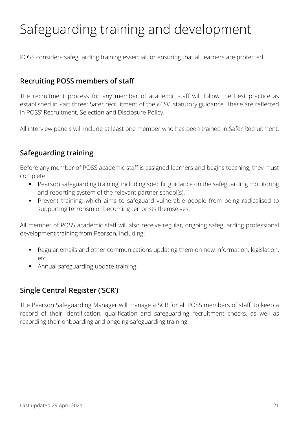# <span id="page-20-0"></span>Safeguarding training and development

<span id="page-20-1"></span>POSS considers safeguarding training essential for ensuring that all learners are protected.

### **Recruiting POSS members of staff**

The recruitment process for any member of academic staff will follow the best practice as established in Part three: Safer recruitment of the *KCSIE* statutory guidance. These are reflected in POSS' Recruitment, Selection and Disclosure Policy.

<span id="page-20-2"></span>All interview panels will include at least one member who has been trained in Safer Recruitment.

### **Safeguarding training**

Before any member of POSS academic staff is assigned learners and begins teaching, they must complete:

- Pearson safeguarding training, including specific guidance on the safeguarding monitoring and reporting system of the relevant partner school(s).
- [Prevent](https://www.elearning.prevent.homeoffice.gov.uk/edu/screen1.html) training, which aims to safeguard vulnerable people from being radicalised to supporting terrorism or becoming terrorists themselves.

All member of POSS academic staff will also receive regular, ongoing safeguarding professional development training from Pearson, including:

- Regular emails and other communications updating them on new information, legislation, etc.
- <span id="page-20-3"></span>**Annual safeguarding update training.**

### **Single Central Register ('SCR')**

The Pearson Safeguarding Manager will manage a SCR for all POSS members of staff, to keep a record of their identification, qualification and safeguarding recruitment checks, as well as recording their onboarding and ongoing safeguarding training.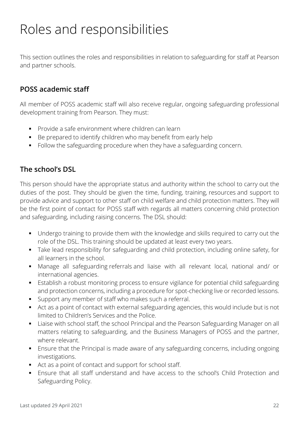# <span id="page-21-0"></span>Roles and responsibilities

This section outlines the roles and responsibilities in relation to safeguarding for staff at Pearson and partner schools.

### <span id="page-21-1"></span>**POSS academic staff**

All member of POSS academic staff will also receive regular, ongoing safeguarding professional development training from Pearson. They must:

- **Provide a safe environment where children can learn**
- Be prepared to identify children who may benefit from early help
- <span id="page-21-2"></span>• Follow the safeguarding procedure when they have a safeguarding concern.

### **The school's DSL**

This person should have the appropriate status and authority within the school to carry out the duties of the post. They should be given the time, funding, training, resources and support to provide advice and support to other staff on child welfare and child protection matters. They will be the first point of contact for POSS staff with regards all matters concerning child protection and safeguarding, including raising concerns. The DSL should:

- Undergo training to provide them with the knowledge and skills required to carry out the role of the DSL. This training should be updated at least every two years.
- Take lead responsibility for safeguarding and child protection, including online safety, for all learners in the school.
- Manage all safeguarding referrals and liaise with all relevant local, national and/ or international agencies.
- Establish a robust monitoring process to ensure vigilance for potential child safeguarding and protection concerns, including a procedure for spot-checking live or recorded lessons.
- **Support any member of staff who makes such a referral.**
- Act as a point of contact with external safeguarding agencies, this would include but is not limited to Children's Services and the Police.
- **Liaise with school staff, the school Principal and the Pearson Safeguarding Manager on all** matters relating to safeguarding, and the Business Managers of POSS and the partner, where relevant.
- Ensure that the Principal is made aware of any safeguarding concerns, including ongoing investigations.
- Act as a point of contact and support for school staff.
- Ensure that all staff understand and have access to the school's Child Protection and Safeguarding Policy.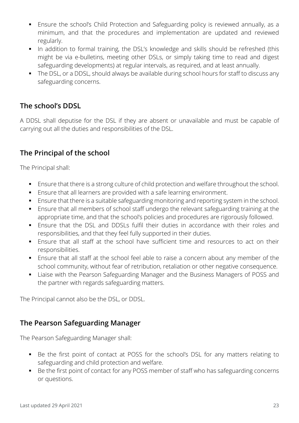- Ensure the school's Child Protection and Safeguarding policy is reviewed annually, as a minimum, and that the procedures and implementation are updated and reviewed regularly.
- In addition to formal training, the DSL's knowledge and skills should be refreshed (this might be via e-bulletins, meeting other DSLs, or simply taking time to read and digest safeguarding developments) at regular intervals, as required, and at least annually.
- The DSL, or a DDSL, should always be available during school hours for staff to discuss any safeguarding concerns.

### <span id="page-22-0"></span>**The school's DDSL**

A DDSL shall deputise for the DSL if they are absent or unavailable and must be capable of carrying out all the duties and responsibilities of the DSL.

### <span id="page-22-1"></span>**The Principal of the school**

The Principal shall:

- Ensure that there is a strong culture of child protection and welfare throughout the school.
- **Ensure that all learners are provided with a safe learning environment.**
- Ensure that there is a suitable safeguarding monitoring and reporting system in the school.
- Ensure that all members of school staff undergo the relevant safeguarding training at the appropriate time, and that the school's policies and procedures are rigorously followed.
- Ensure that the DSL and DDSLs fulfil their duties in accordance with their roles and responsibilities, and that they feel fully supported in their duties.
- Ensure that all staff at the school have sufficient time and resources to act on their responsibilities.
- Ensure that all staff at the school feel able to raise a concern about any member of the school community, without fear of retribution, retaliation or other negative consequence.
- Liaise with the Pearson Safeguarding Manager and the Business Managers of POSS and the partner with regards safeguarding matters.

<span id="page-22-2"></span>The Principal cannot also be the DSL, or DDSL.

### **The Pearson Safeguarding Manager**

The Pearson Safeguarding Manager shall:

- Be the first point of contact at POSS for the school's DSL for any matters relating to safeguarding and child protection and welfare.
- Be the first point of contact for any POSS member of staff who has safeguarding concerns or questions.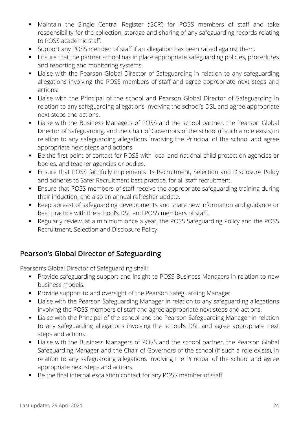- Maintain the Single Central Register ('SCR') for POSS members of staff and take responsibility for the collection, storage and sharing of any safeguarding records relating to POSS academic staff.
- Support any POSS member of staff if an allegation has been raised against them.
- Ensure that the partner school has in place appropriate safeguarding policies, procedures and reporting and monitoring systems.
- Liaise with the Pearson Global Director of Safeguarding in relation to any safeguarding allegations involving the POSS members of staff and agree appropriate next steps and actions.
- Liaise with the Principal of the school and Pearson Global Director of Safeguarding in relation to any safeguarding allegations involving the school's DSL and agree appropriate next steps and actions.
- Liaise with the Business Managers of POSS and the school partner, the Pearson Global Director of Safeguarding, and the Chair of Governors of the school (if such a role exists) in relation to any safeguarding allegations involving the Principal of the school and agree appropriate next steps and actions.
- Be the first point of contact for POSS with local and national child protection agencies or bodies, and teacher agencies or bodies.
- Ensure that POSS faithfully implements its Recruitment, Selection and Disclosure Policy and adheres to Safer Recruitment best practice, for all staff recruitment.
- Ensure that POSS members of staff receive the appropriate safeguarding training during their induction, and also an annual refresher update.
- Keep abreast of safeguarding developments and share new information and guidance or best practice with the school's DSL and POSS members of staff.
- Regularly review, at a minimum once a year, the POSS Safeguarding Policy and the POSS Recruitment, Selection and Disclosure Policy.

### <span id="page-23-0"></span>**Pearson's Global Director of Safeguarding**

Pearson's Global Director of Safeguarding shall:

- **Provide safeguarding support and insight to POSS Business Managers in relation to new** business models.
- **Provide support to and oversight of the Pearson Safeguarding Manager.**
- **EXT** Liaise with the Pearson Safeguarding Manager in relation to any safeguarding allegations involving the POSS members of staff and agree appropriate next steps and actions.
- Liaise with the Principal of the school and the Pearson Safeguarding Manager in relation to any safeguarding allegations involving the school's DSL and agree appropriate next steps and actions.
- Liaise with the Business Managers of POSS and the school partner, the Pearson Global Safeguarding Manager and the Chair of Governors of the school (if such a role exists), in relation to any safeguarding allegations involving the Principal of the school and agree appropriate next steps and actions.
- Be the final internal escalation contact for any POSS member of staff.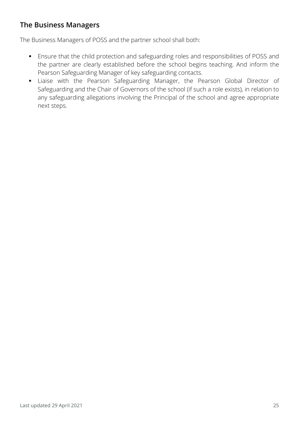### <span id="page-24-0"></span>**The Business Managers**

The Business Managers of POSS and the partner school shall both:

- Ensure that the child protection and safeguarding roles and responsibilities of POSS and the partner are clearly established before the school begins teaching. And inform the Pearson Safeguarding Manager of key safeguarding contacts.
- Liaise with the Pearson Safeguarding Manager, the Pearson Global Director of Safeguarding and the Chair of Governors of the school (if such a role exists), in relation to any safeguarding allegations involving the Principal of the school and agree appropriate next steps.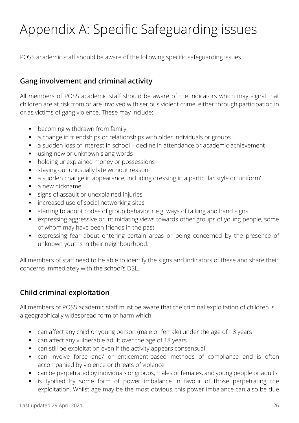# <span id="page-25-0"></span>Appendix A: Specific Safeguarding issues

<span id="page-25-1"></span>POSS academic staff should be aware of the following specific safeguarding issues.

### **Gang involvement and criminal activity**

All members of POSS academic staff should be aware of the indicators which may signal that children are at risk from or are involved with serious violent crime, either through participation in or as victims of gang violence. These may include:

- **•** becoming withdrawn from family
- a change in friendships or relationships with older individuals or groups
- a sudden loss of interest in school decline in attendance or academic achievement
- using new or unknown slang words
- holding unexplained money or possessions
- **staying out unusually late without reason**
- a sudden change in appearance, including dressing in a particular style or 'uniform'
- a new nickname
- signs of assault or unexplained injuries
- **increased use of social networking sites**
- starting to adopt codes of group behaviour e.g. ways of talking and hand signs
- expressing aggressive or intimidating views towards other groups of young people, some of whom may have been friends in the past
- expressing fear about entering certain areas or being concerned by the presence of unknown youths in their neighbourhood.

All members of staff need to be able to identify the signs and indicators of these and share their concerns immediately with the school's DSL.

### <span id="page-25-2"></span>**Child criminal exploitation**

All members of POSS academic staff must be aware that the criminal exploitation of children is a geographically widespread form of harm which:

- can affect any child or young person (male or female) under the age of 18 years
- can affect any vulnerable adult over the age of 18 years
- can still be exploitation even if the activity appears consensual
- can involve force and/ or enticement-based methods of compliance and is often accompanied by violence or threats of violence
- can be perpetrated by individuals or groups, males or females, and young people or adults
- is typified by some form of power imbalance in favour of those perpetrating the exploitation. Whilst age may be the most obvious, this power imbalance can also be due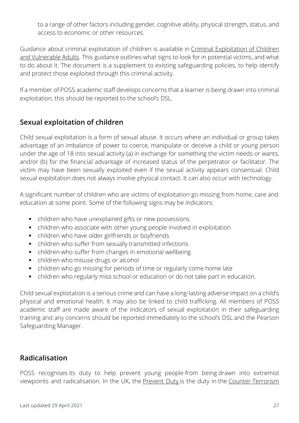to a range of other factors including gender, cognitive ability, physical strength, status, and access to economic or other resources.

Guidance about criminal exploitation of children is available in Criminal Exploitation of Children [and Vulnerable Adults.](https://www.gov.uk/government/publications/criminal-exploitation-of-children-and-vulnerable-adults-county-lines) This guidance outlines what signs to look for in potential victims, and what to do about it. The document is a supplement to existing safeguarding policies, to help identify and protect those exploited through this criminal activity.

If a member of POSS academic staff develops concerns that a learner is being drawn into criminal exploitation, this should be reported to the school's DSL.

### <span id="page-26-0"></span>**Sexual exploitation of children**

Child sexual exploitation is a form of sexual abuse. It occurs where an individual or group takes advantage of an imbalance of power to coerce, manipulate or deceive a child or young person under the age of 18 into sexual activity (a) in exchange for something the victim needs or wants, and/or (b) for the financial advantage of increased status of the perpetrator or facilitator. The victim may have been sexually exploited even if the sexual activity appears consensual. Child sexual exploitation does not always involve physical contact. It can also occur with technology.

A significant number of children who are victims of exploitation go missing from home, care and education at some point. Some of the following signs may be indicators:

- children who have unexplained gifts or new possessions
- children who associate with other young people involved in exploitation
- children who have older girlfriends or boyfriends
- children who suffer from sexually transmitted infections
- children who suffer from changes in emotional wellbeing
- children who misuse drugs or alcohol
- children who go missing for periods of time or regularly come home late
- children who regularly miss school or education or do not take part in education.

Child sexual exploitation is a serious crime and can have a long-lasting adverse impact on a child's physical and emotional health. It may also be linked to child trafficking. All members of POSS academic staff are made aware of the indicators of sexual exploitation in their safeguarding training and any concerns should be reported immediately to the school's DSL and the Pearson Safeguarding Manager.

### <span id="page-26-1"></span>**Radicalisation**

POSS recognises its duty to help prevent young people from being drawn into extremist viewpoints and radicalisation. In the UK, the **[Prevent Duty](https://assets.publishing.service.gov.uk/government/uploads/system/uploads/attachment_data/file/439598/prevent-duty-departmental-advice-v6.pdf)** is the duty in the Counter-Terrorism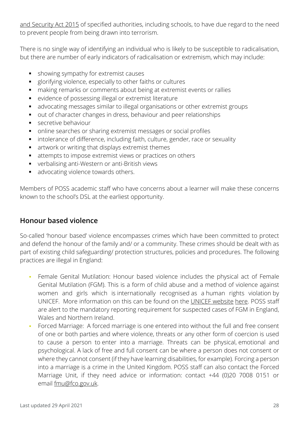[and Security Act 2015](http://www.legislation.gov.uk/ukpga/2015/6/contents/enacted) of specified authorities, including schools, to have due regard to the need to prevent people from being drawn into terrorism.

There is no single way of identifying an individual who is likely to be susceptible to radicalisation, but there are number of early indicators of radicalisation or extremism, which may include:

- **showing sympathy for extremist causes**
- glorifying violence, especially to other faiths or cultures
- making remarks or comments about being at extremist events or rallies
- evidence of possessing illegal or extremist literature
- advocating messages similar to illegal organisations or other extremist groups
- out of character changes in dress, behaviour and peer relationships
- **secretive behaviour**
- online searches or sharing extremist messages or social profiles
- **EXT** intolerance of difference, including faith, culture, gender, race or sexuality
- **EXECUTE:** artwork or writing that displays extremist themes
- attempts to impose extremist views or practices on others
- **•** verbalising anti-Western or anti-British views
- **advocating violence towards others.**

<span id="page-27-0"></span>Members of POSS academic staff who have concerns about a learner will make these concerns known to the school's DSL at the earliest opportunity.

### **Honour based violence**

So-called 'honour based' violence encompasses crimes which have been committed to protect and defend the honour of the family and/ or a community. These crimes should be dealt with as part of existing child safeguarding/ protection structures, policies and procedures. The following practices are illegal in England:

- Female Genital Mutilation: Honour based violence includes the physical act of Female Genital Mutilation (FGM). This is a form of child abuse and a method of violence against women and girls which is internationally recognised as a human rights violation by UNICEF. More information on this can be found on the [UNICEF website](https://www.unicef.org/protection/female-genital-mutilation) [here.](https://www.unicef.org/protection/female-genital-mutilation) POSS staff are alert to the mandatory reporting requirement for suspected cases of FGM in England, Wales and Northern Ireland.
- Forced Marriage: A forced marriage is one entered into without the full and free consent of one or both parties and where violence, threats or any other form of coercion is used to cause a person to enter into a marriage. Threats can be physical, emotional and psychological. A lack of free and full consent can be where a person does not consent or where they cannot consent (if they have learning disabilities, for example). Forcing a person into a marriage is a crime in the United Kingdom. POSS staff can also contact the Forced Marriage Unit, if they need advice or information: contact +44 (0)20 7008 0151 or email [fmu@fco.gov.uk.](mailto:fmu@fco.gov.uk)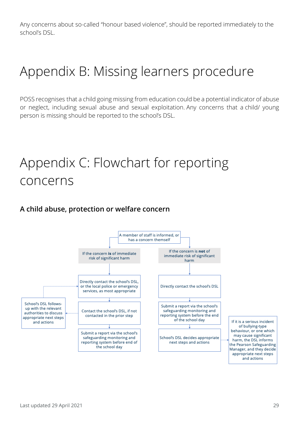Any concerns about so-called "honour based violence", should be reported immediately to the school's DSL.

### <span id="page-28-0"></span>Appendix B: Missing learners procedure

POSS recognises that a child going missing from education could be a potential indicator of abuse or neglect, including sexual abuse and sexual exploitation. Any concerns that a child/ young person is missing should be reported to the school's DSL.

### <span id="page-28-1"></span>Appendix C: Flowchart for reporting concerns

### <span id="page-28-2"></span>**A child abuse, protection or welfare concern**

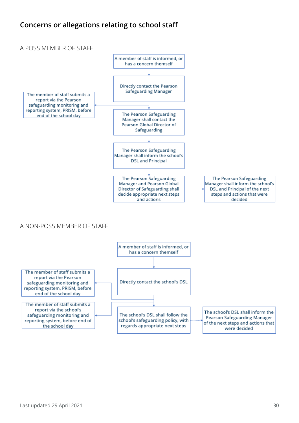### <span id="page-29-0"></span>**Concerns or allegations relating to school staff**

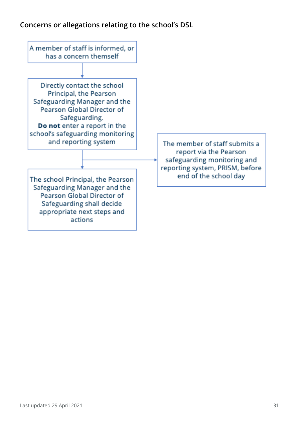### <span id="page-30-0"></span>**Concerns or allegations relating to the school's DSL**

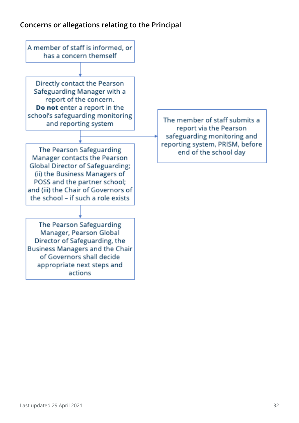### <span id="page-31-0"></span>**Concerns or allegations relating to the Principal**

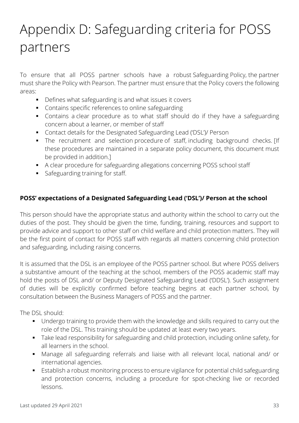# <span id="page-32-0"></span>Appendix D: Safeguarding criteria for POSS partners

To ensure that all POSS partner schools have a robust Safeguarding Policy, the partner must share the Policy with Pearson. The partner must ensure that the Policy covers the following areas:

- Defines what safeguarding is and what issues it covers
- **Contains specific references to online safeguarding**
- Contains a clear procedure as to what staff should do if they have a safeguarding concern about a learner, or member of staff
- Contact details for the Designated Safeguarding Lead ('DSL')/ Person
- The recruitment and selection procedure of staff, including background checks. [If these procedures are maintained in a separate policy document, this document must be provided in addition.]
- A clear procedure for safeguarding allegations concerning POSS school staff
- **Safeguarding training for staff.**

#### **POSS' expectations of a Designated Safeguarding Lead ('DSL')/ Person at the school**

This person should have the appropriate status and authority within the school to carry out the duties of the post. They should be given the time, funding, training, resources and support to provide advice and support to other staff on child welfare and child protection matters. They will be the first point of contact for POSS staff with regards all matters concerning child protection and safeguarding, including raising concerns.

It is assumed that the DSL is an employee of the POSS partner school. But where POSS delivers a substantive amount of the teaching at the school, members of the POSS academic staff may hold the posts of DSL and/ or Deputy Designated Safeguarding Lead ('DDSL'). Such assignment of duties will be explicitly confirmed before teaching begins at each partner school, by consultation between the Business Managers of POSS and the partner.

The DSL should:

- Undergo training to provide them with the knowledge and skills required to carry out the role of the DSL. This training should be updated at least every two years.
- Take lead responsibility for safeguarding and child protection, including online safety, for all learners in the school.
- Manage all safeguarding referrals and liaise with all relevant local, national and/ or international agencies.
- Establish a robust monitoring process to ensure vigilance for potential child safeguarding and protection concerns, including a procedure for spot-checking live or recorded lessons.